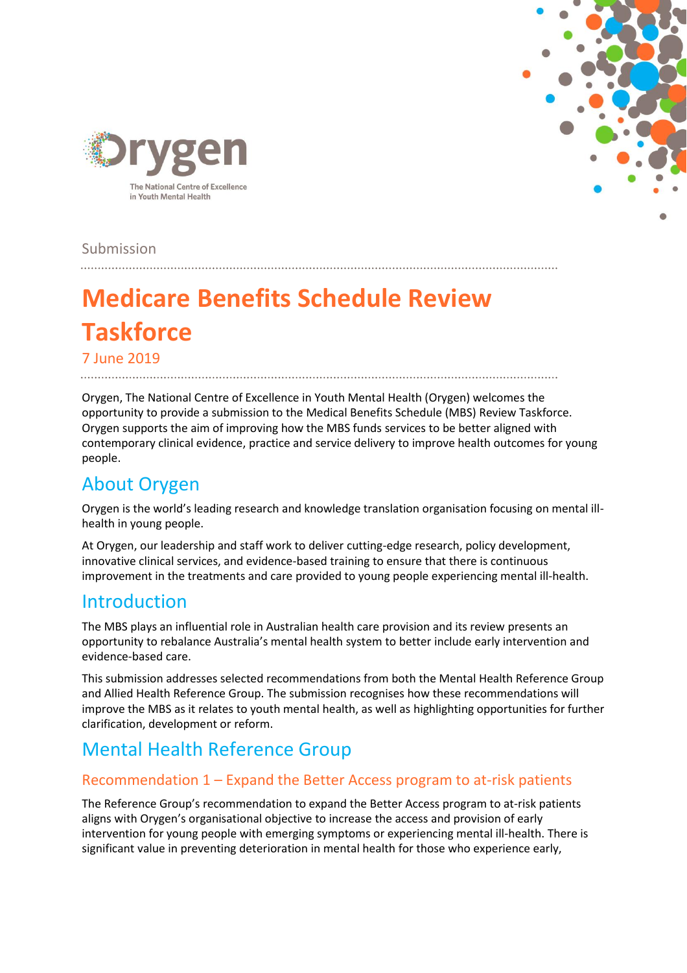



Submission

# **Medicare Benefits Schedule Review Taskforce**

7 June 2019

Orygen, The National Centre of Excellence in Youth Mental Health (Orygen) welcomes the opportunity to provide a submission to the Medical Benefits Schedule (MBS) Review Taskforce. Orygen supports the aim of improving how the MBS funds services to be better aligned with contemporary clinical evidence, practice and service delivery to improve health outcomes for young people.

# About Orygen

Orygen is the world's leading research and knowledge translation organisation focusing on mental illhealth in young people.

At Orygen, our leadership and staff work to deliver cutting-edge research, policy development, innovative clinical services, and evidence-based training to ensure that there is continuous improvement in the treatments and care provided to young people experiencing mental ill-health.

### Introduction

The MBS plays an influential role in Australian health care provision and its review presents an opportunity to rebalance Australia's mental health system to better include early intervention and evidence-based care.

This submission addresses selected recommendations from both the Mental Health Reference Group and Allied Health Reference Group. The submission recognises how these recommendations will improve the MBS as it relates to youth mental health, as well as highlighting opportunities for further clarification, development or reform.

# Mental Health Reference Group

#### Recommendation 1 – Expand the Better Access program to at-risk patients

The Reference Group's recommendation to expand the Better Access program to at-risk patients aligns with Orygen's organisational objective to increase the access and provision of early intervention for young people with emerging symptoms or experiencing mental ill-health. There is significant value in preventing deterioration in mental health for those who experience early,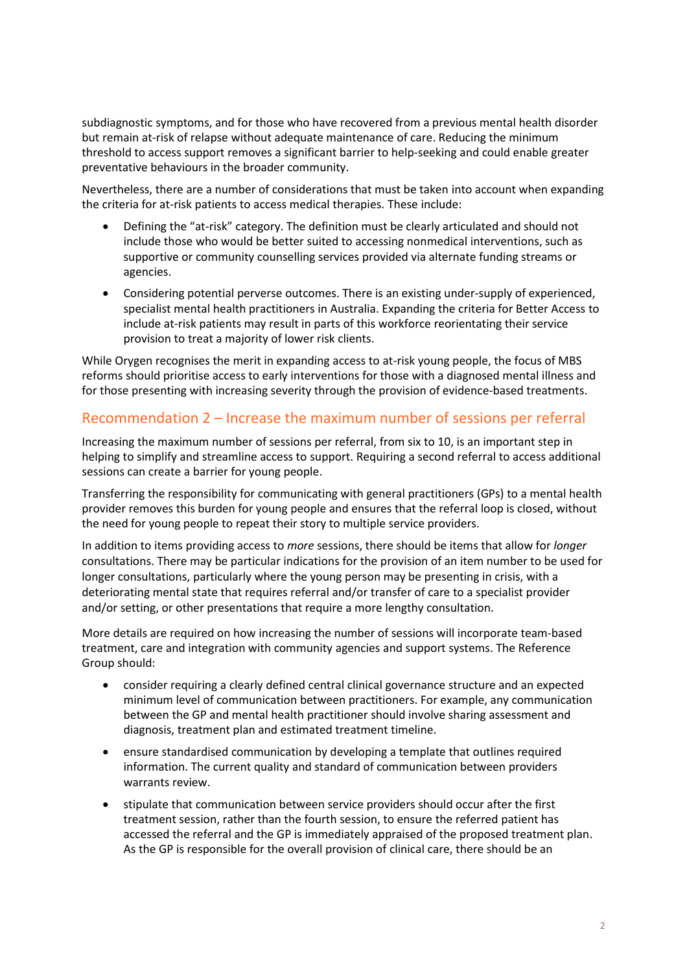subdiagnostic symptoms, and for those who have recovered from a previous mental health disorder but remain at-risk of relapse without adequate maintenance of care. Reducing the minimum threshold to access support removes a significant barrier to help-seeking and could enable greater preventative behaviours in the broader community.

Nevertheless, there are a number of considerations that must be taken into account when expanding the criteria for at-risk patients to access medical therapies. These include:

- Defining the "at-risk" category. The definition must be clearly articulated and should not include those who would be better suited to accessing nonmedical interventions, such as supportive or community counselling services provided via alternate funding streams or agencies.
- Considering potential perverse outcomes. There is an existing under-supply of experienced, specialist mental health practitioners in Australia. Expanding the criteria for Better Access to include at-risk patients may result in parts of this workforce reorientating their service provision to treat a majority of lower risk clients.

While Orygen recognises the merit in expanding access to at-risk young people, the focus of MBS reforms should prioritise access to early interventions for those with a diagnosed mental illness and for those presenting with increasing severity through the provision of evidence-based treatments.

#### Recommendation 2 – Increase the maximum number of sessions per referral

Increasing the maximum number of sessions per referral, from six to 10, is an important step in helping to simplify and streamline access to support. Requiring a second referral to access additional sessions can create a barrier for young people.

Transferring the responsibility for communicating with general practitioners (GPs) to a mental health provider removes this burden for young people and ensures that the referral loop is closed, without the need for young people to repeat their story to multiple service providers.

In addition to items providing access to *more* sessions, there should be items that allow for *longer*  consultations. There may be particular indications for the provision of an item number to be used for longer consultations, particularly where the young person may be presenting in crisis, with a deteriorating mental state that requires referral and/or transfer of care to a specialist provider and/or setting, or other presentations that require a more lengthy consultation.

More details are required on how increasing the number of sessions will incorporate team-based treatment, care and integration with community agencies and support systems. The Reference Group should:

- consider requiring a clearly defined central clinical governance structure and an expected minimum level of communication between practitioners. For example, any communication between the GP and mental health practitioner should involve sharing assessment and diagnosis, treatment plan and estimated treatment timeline.
- ensure standardised communication by developing a template that outlines required information. The current quality and standard of communication between providers warrants review.
- stipulate that communication between service providers should occur after the first treatment session, rather than the fourth session, to ensure the referred patient has accessed the referral and the GP is immediately appraised of the proposed treatment plan. As the GP is responsible for the overall provision of clinical care, there should be an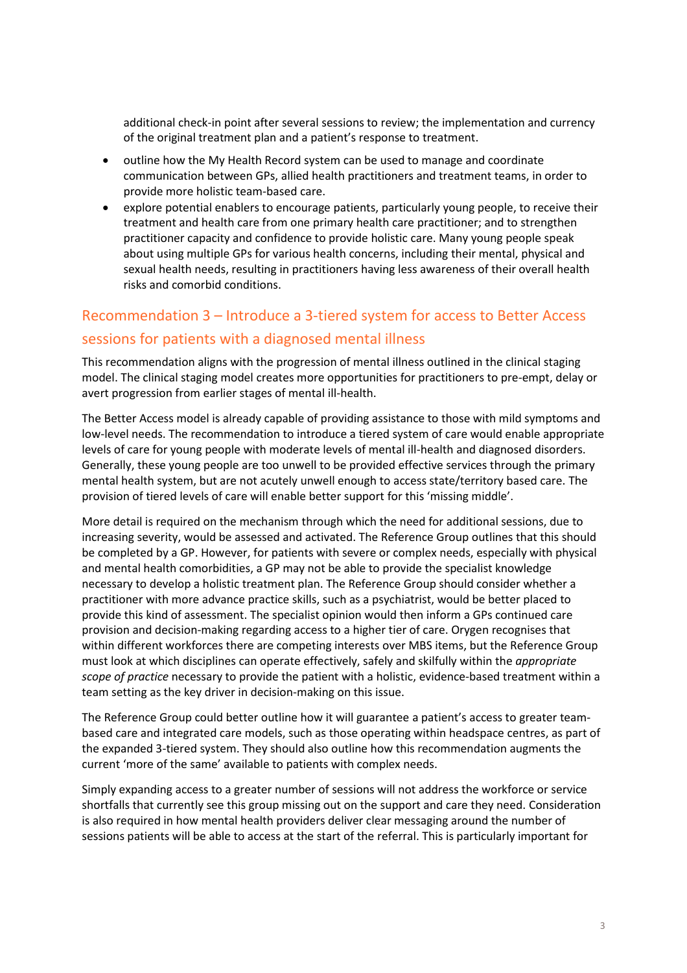additional check-in point after several sessions to review; the implementation and currency of the original treatment plan and a patient's response to treatment.

- outline how the My Health Record system can be used to manage and coordinate communication between GPs, allied health practitioners and treatment teams, in order to provide more holistic team-based care.
- explore potential enablers to encourage patients, particularly young people, to receive their treatment and health care from one primary health care practitioner; and to strengthen practitioner capacity and confidence to provide holistic care. Many young people speak about using multiple GPs for various health concerns, including their mental, physical and sexual health needs, resulting in practitioners having less awareness of their overall health risks and comorbid conditions.

### Recommendation 3 – Introduce a 3-tiered system for access to Better Access sessions for patients with a diagnosed mental illness

This recommendation aligns with the progression of mental illness outlined in the clinical staging model. The clinical staging model creates more opportunities for practitioners to pre-empt, delay or avert progression from earlier stages of mental ill-health.

The Better Access model is already capable of providing assistance to those with mild symptoms and low-level needs. The recommendation to introduce a tiered system of care would enable appropriate levels of care for young people with moderate levels of mental ill-health and diagnosed disorders. Generally, these young people are too unwell to be provided effective services through the primary mental health system, but are not acutely unwell enough to access state/territory based care. The provision of tiered levels of care will enable better support for this 'missing middle'.

More detail is required on the mechanism through which the need for additional sessions, due to increasing severity, would be assessed and activated. The Reference Group outlines that this should be completed by a GP. However, for patients with severe or complex needs, especially with physical and mental health comorbidities, a GP may not be able to provide the specialist knowledge necessary to develop a holistic treatment plan. The Reference Group should consider whether a practitioner with more advance practice skills, such as a psychiatrist, would be better placed to provide this kind of assessment. The specialist opinion would then inform a GPs continued care provision and decision-making regarding access to a higher tier of care. Orygen recognises that within different workforces there are competing interests over MBS items, but the Reference Group must look at which disciplines can operate effectively, safely and skilfully within the *appropriate scope of practice* necessary to provide the patient with a holistic, evidence-based treatment within a team setting as the key driver in decision-making on this issue.

The Reference Group could better outline how it will guarantee a patient's access to greater teambased care and integrated care models, such as those operating within headspace centres, as part of the expanded 3-tiered system. They should also outline how this recommendation augments the current 'more of the same' available to patients with complex needs.

Simply expanding access to a greater number of sessions will not address the workforce or service shortfalls that currently see this group missing out on the support and care they need. Consideration is also required in how mental health providers deliver clear messaging around the number of sessions patients will be able to access at the start of the referral. This is particularly important for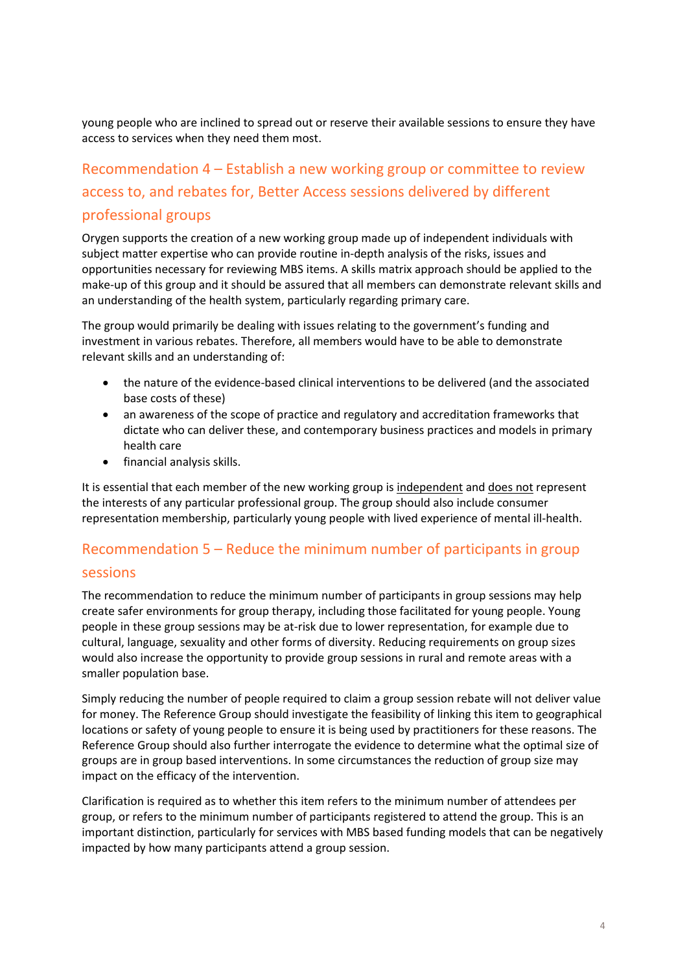young people who are inclined to spread out or reserve their available sessions to ensure they have access to services when they need them most.

# Recommendation 4 – Establish a new working group or committee to review access to, and rebates for, Better Access sessions delivered by different professional groups

Orygen supports the creation of a new working group made up of independent individuals with subject matter expertise who can provide routine in-depth analysis of the risks, issues and opportunities necessary for reviewing MBS items. A skills matrix approach should be applied to the make-up of this group and it should be assured that all members can demonstrate relevant skills and an understanding of the health system, particularly regarding primary care.

The group would primarily be dealing with issues relating to the government's funding and investment in various rebates. Therefore, all members would have to be able to demonstrate relevant skills and an understanding of:

- the nature of the evidence-based clinical interventions to be delivered (and the associated base costs of these)
- an awareness of the scope of practice and regulatory and accreditation frameworks that dictate who can deliver these, and contemporary business practices and models in primary health care
- financial analysis skills.

It is essential that each member of the new working group is independent and does not represent the interests of any particular professional group. The group should also include consumer representation membership, particularly young people with lived experience of mental ill-health.

### Recommendation 5 – Reduce the minimum number of participants in group sessions

The recommendation to reduce the minimum number of participants in group sessions may help create safer environments for group therapy, including those facilitated for young people. Young people in these group sessions may be at-risk due to lower representation, for example due to cultural, language, sexuality and other forms of diversity. Reducing requirements on group sizes would also increase the opportunity to provide group sessions in rural and remote areas with a smaller population base.

Simply reducing the number of people required to claim a group session rebate will not deliver value for money. The Reference Group should investigate the feasibility of linking this item to geographical locations or safety of young people to ensure it is being used by practitioners for these reasons. The Reference Group should also further interrogate the evidence to determine what the optimal size of groups are in group based interventions. In some circumstances the reduction of group size may impact on the efficacy of the intervention.

Clarification is required as to whether this item refers to the minimum number of attendees per group, or refers to the minimum number of participants registered to attend the group. This is an important distinction, particularly for services with MBS based funding models that can be negatively impacted by how many participants attend a group session.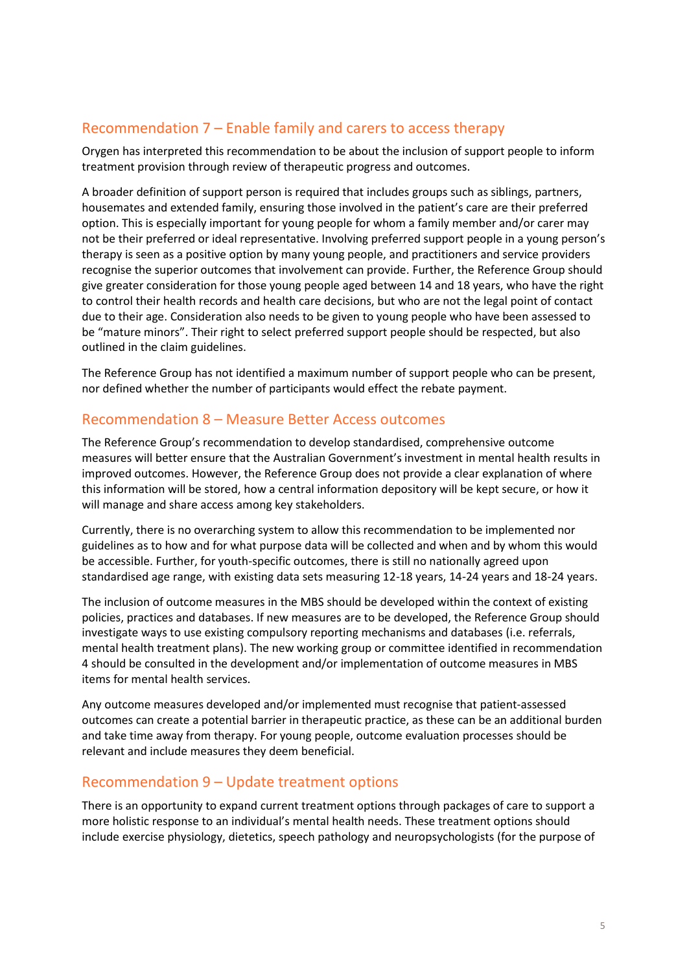#### Recommendation 7 – Enable family and carers to access therapy

Orygen has interpreted this recommendation to be about the inclusion of support people to inform treatment provision through review of therapeutic progress and outcomes.

A broader definition of support person is required that includes groups such as siblings, partners, housemates and extended family, ensuring those involved in the patient's care are their preferred option. This is especially important for young people for whom a family member and/or carer may not be their preferred or ideal representative. Involving preferred support people in a young person's therapy is seen as a positive option by many young people, and practitioners and service providers recognise the superior outcomes that involvement can provide. Further, the Reference Group should give greater consideration for those young people aged between 14 and 18 years, who have the right to control their health records and health care decisions, but who are not the legal point of contact due to their age. Consideration also needs to be given to young people who have been assessed to be "mature minors". Their right to select preferred support people should be respected, but also outlined in the claim guidelines.

The Reference Group has not identified a maximum number of support people who can be present, nor defined whether the number of participants would effect the rebate payment.

#### Recommendation 8 – Measure Better Access outcomes

The Reference Group's recommendation to develop standardised, comprehensive outcome measures will better ensure that the Australian Government's investment in mental health results in improved outcomes. However, the Reference Group does not provide a clear explanation of where this information will be stored, how a central information depository will be kept secure, or how it will manage and share access among key stakeholders.

Currently, there is no overarching system to allow this recommendation to be implemented nor guidelines as to how and for what purpose data will be collected and when and by whom this would be accessible. Further, for youth-specific outcomes, there is still no nationally agreed upon standardised age range, with existing data sets measuring 12-18 years, 14-24 years and 18-24 years.

The inclusion of outcome measures in the MBS should be developed within the context of existing policies, practices and databases. If new measures are to be developed, the Reference Group should investigate ways to use existing compulsory reporting mechanisms and databases (i.e. referrals, mental health treatment plans). The new working group or committee identified in recommendation 4 should be consulted in the development and/or implementation of outcome measures in MBS items for mental health services.

Any outcome measures developed and/or implemented must recognise that patient-assessed outcomes can create a potential barrier in therapeutic practice, as these can be an additional burden and take time away from therapy. For young people, outcome evaluation processes should be relevant and include measures they deem beneficial.

#### Recommendation 9 – Update treatment options

There is an opportunity to expand current treatment options through packages of care to support a more holistic response to an individual's mental health needs. These treatment options should include exercise physiology, dietetics, speech pathology and neuropsychologists (for the purpose of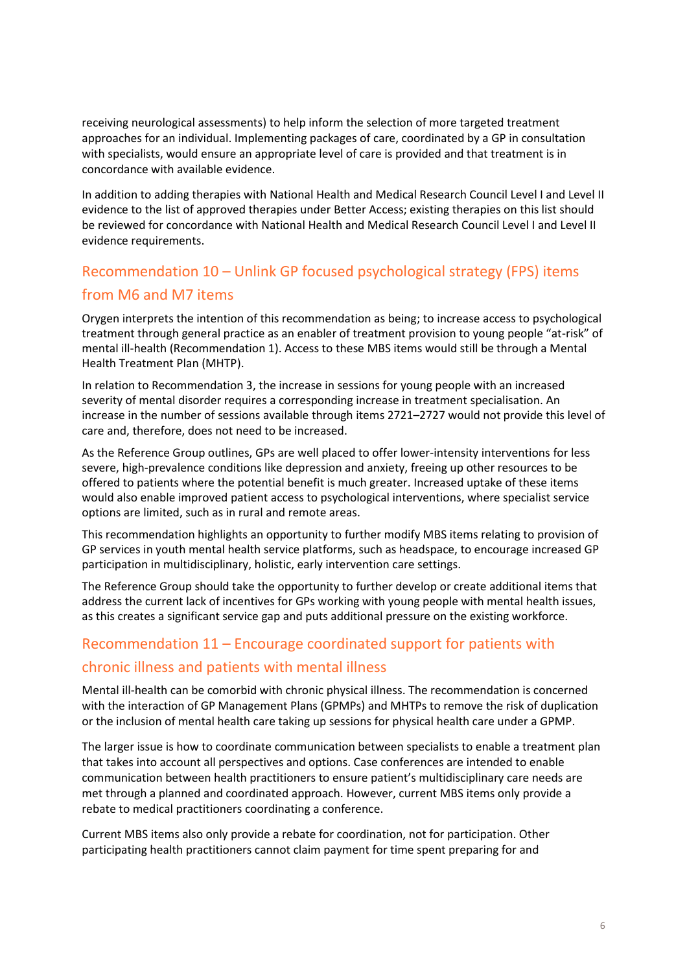receiving neurological assessments) to help inform the selection of more targeted treatment approaches for an individual. Implementing packages of care, coordinated by a GP in consultation with specialists, would ensure an appropriate level of care is provided and that treatment is in concordance with available evidence.

In addition to adding therapies with National Health and Medical Research Council Level I and Level II evidence to the list of approved therapies under Better Access; existing therapies on this list should be reviewed for concordance with National Health and Medical Research Council Level I and Level II evidence requirements.

## Recommendation 10 – Unlink GP focused psychological strategy (FPS) items from M6 and M7 items

Orygen interprets the intention of this recommendation as being; to increase access to psychological treatment through general practice as an enabler of treatment provision to young people "at-risk" of mental ill-health (Recommendation 1). Access to these MBS items would still be through a Mental Health Treatment Plan (MHTP).

In relation to Recommendation 3, the increase in sessions for young people with an increased severity of mental disorder requires a corresponding increase in treatment specialisation. An increase in the number of sessions available through items 2721–2727 would not provide this level of care and, therefore, does not need to be increased.

As the Reference Group outlines, GPs are well placed to offer lower-intensity interventions for less severe, high-prevalence conditions like depression and anxiety, freeing up other resources to be offered to patients where the potential benefit is much greater. Increased uptake of these items would also enable improved patient access to psychological interventions, where specialist service options are limited, such as in rural and remote areas.

This recommendation highlights an opportunity to further modify MBS items relating to provision of GP services in youth mental health service platforms, such as headspace, to encourage increased GP participation in multidisciplinary, holistic, early intervention care settings.

The Reference Group should take the opportunity to further develop or create additional items that address the current lack of incentives for GPs working with young people with mental health issues, as this creates a significant service gap and puts additional pressure on the existing workforce.

### Recommendation 11 – Encourage coordinated support for patients with chronic illness and patients with mental illness

Mental ill-health can be comorbid with chronic physical illness. The recommendation is concerned with the interaction of GP Management Plans (GPMPs) and MHTPs to remove the risk of duplication or the inclusion of mental health care taking up sessions for physical health care under a GPMP.

The larger issue is how to coordinate communication between specialists to enable a treatment plan that takes into account all perspectives and options. Case conferences are intended to enable communication between health practitioners to ensure patient's multidisciplinary care needs are met through a planned and coordinated approach. However, current MBS items only provide a rebate to medical practitioners coordinating a conference.

Current MBS items also only provide a rebate for coordination, not for participation. Other participating health practitioners cannot claim payment for time spent preparing for and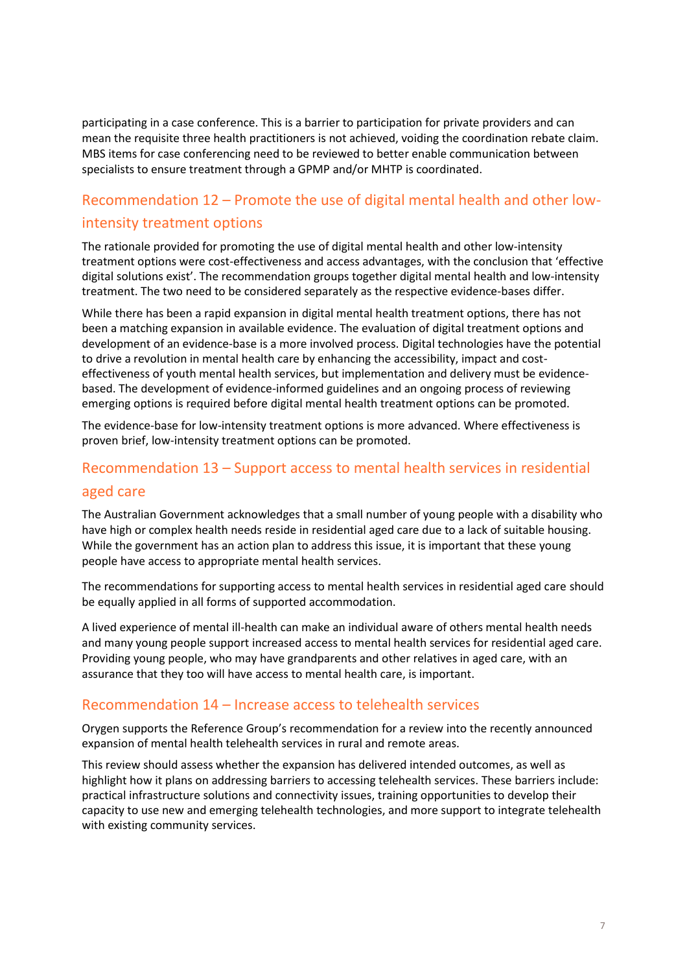participating in a case conference. This is a barrier to participation for private providers and can mean the requisite three health practitioners is not achieved, voiding the coordination rebate claim. MBS items for case conferencing need to be reviewed to better enable communication between specialists to ensure treatment through a GPMP and/or MHTP is coordinated.

### Recommendation 12 – Promote the use of digital mental health and other lowintensity treatment options

The rationale provided for promoting the use of digital mental health and other low-intensity treatment options were cost-effectiveness and access advantages, with the conclusion that 'effective digital solutions exist'. The recommendation groups together digital mental health and low-intensity treatment. The two need to be considered separately as the respective evidence-bases differ.

While there has been a rapid expansion in digital mental health treatment options, there has not been a matching expansion in available evidence. The evaluation of digital treatment options and development of an evidence-base is a more involved process. Digital technologies have the potential to drive a revolution in mental health care by enhancing the accessibility, impact and costeffectiveness of youth mental health services, but implementation and delivery must be evidencebased. The development of evidence-informed guidelines and an ongoing process of reviewing emerging options is required before digital mental health treatment options can be promoted.

The evidence-base for low-intensity treatment options is more advanced. Where effectiveness is proven brief, low-intensity treatment options can be promoted.

#### Recommendation 13 – Support access to mental health services in residential

#### aged care

The Australian Government acknowledges that a small number of young people with a disability who have high or complex health needs reside in residential aged care due to a lack of suitable housing. While the government has an action plan to address this issue, it is important that these young people have access to appropriate mental health services.

The recommendations for supporting access to mental health services in residential aged care should be equally applied in all forms of supported accommodation.

A lived experience of mental ill-health can make an individual aware of others mental health needs and many young people support increased access to mental health services for residential aged care. Providing young people, who may have grandparents and other relatives in aged care, with an assurance that they too will have access to mental health care, is important.

#### Recommendation 14 – Increase access to telehealth services

Orygen supports the Reference Group's recommendation for a review into the recently announced expansion of mental health telehealth services in rural and remote areas.

This review should assess whether the expansion has delivered intended outcomes, as well as highlight how it plans on addressing barriers to accessing telehealth services. These barriers include: practical infrastructure solutions and connectivity issues, training opportunities to develop their capacity to use new and emerging telehealth technologies, and more support to integrate telehealth with existing community services.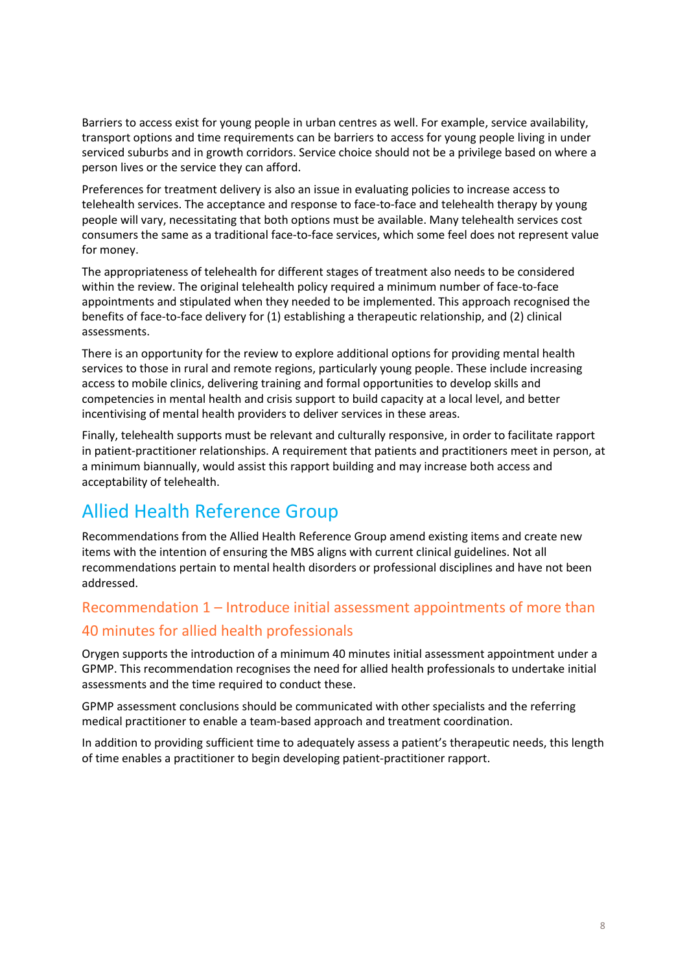Barriers to access exist for young people in urban centres as well. For example, service availability, transport options and time requirements can be barriers to access for young people living in under serviced suburbs and in growth corridors. Service choice should not be a privilege based on where a person lives or the service they can afford.

Preferences for treatment delivery is also an issue in evaluating policies to increase access to telehealth services. The acceptance and response to face-to-face and telehealth therapy by young people will vary, necessitating that both options must be available. Many telehealth services cost consumers the same as a traditional face-to-face services, which some feel does not represent value for money.

The appropriateness of telehealth for different stages of treatment also needs to be considered within the review. The original telehealth policy required a minimum number of face-to-face appointments and stipulated when they needed to be implemented. This approach recognised the benefits of face-to-face delivery for (1) establishing a therapeutic relationship, and (2) clinical assessments.

There is an opportunity for the review to explore additional options for providing mental health services to those in rural and remote regions, particularly young people. These include increasing access to mobile clinics, delivering training and formal opportunities to develop skills and competencies in mental health and crisis support to build capacity at a local level, and better incentivising of mental health providers to deliver services in these areas.

Finally, telehealth supports must be relevant and culturally responsive, in order to facilitate rapport in patient-practitioner relationships. A requirement that patients and practitioners meet in person, at a minimum biannually, would assist this rapport building and may increase both access and acceptability of telehealth.

# Allied Health Reference Group

Recommendations from the Allied Health Reference Group amend existing items and create new items with the intention of ensuring the MBS aligns with current clinical guidelines. Not all recommendations pertain to mental health disorders or professional disciplines and have not been addressed.

# Recommendation 1 – Introduce initial assessment appointments of more than 40 minutes for allied health professionals

Orygen supports the introduction of a minimum 40 minutes initial assessment appointment under a GPMP. This recommendation recognises the need for allied health professionals to undertake initial assessments and the time required to conduct these.

GPMP assessment conclusions should be communicated with other specialists and the referring medical practitioner to enable a team-based approach and treatment coordination.

In addition to providing sufficient time to adequately assess a patient's therapeutic needs, this length of time enables a practitioner to begin developing patient-practitioner rapport.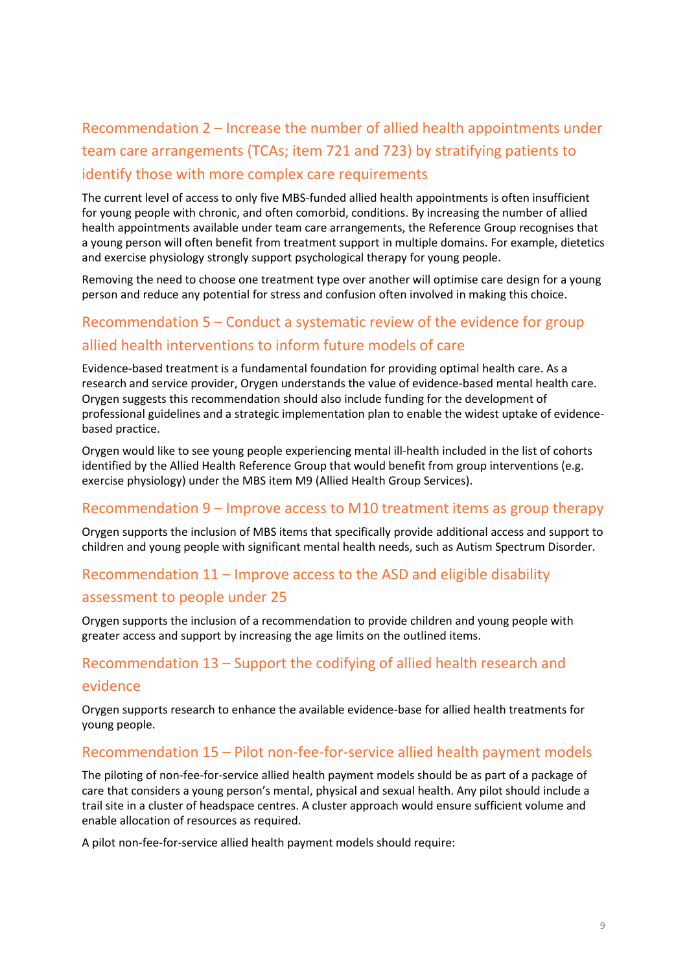# Recommendation 2 – Increase the number of allied health appointments under team care arrangements (TCAs; item 721 and 723) by stratifying patients to identify those with more complex care requirements

The current level of access to only five MBS-funded allied health appointments is often insufficient for young people with chronic, and often comorbid, conditions. By increasing the number of allied health appointments available under team care arrangements, the Reference Group recognises that a young person will often benefit from treatment support in multiple domains. For example, dietetics and exercise physiology strongly support psychological therapy for young people.

Removing the need to choose one treatment type over another will optimise care design for a young person and reduce any potential for stress and confusion often involved in making this choice.

### Recommendation 5 – Conduct a systematic review of the evidence for group allied health interventions to inform future models of care

Evidence-based treatment is a fundamental foundation for providing optimal health care. As a research and service provider, Orygen understands the value of evidence-based mental health care. Orygen suggests this recommendation should also include funding for the development of professional guidelines and a strategic implementation plan to enable the widest uptake of evidencebased practice.

Orygen would like to see young people experiencing mental ill-health included in the list of cohorts identified by the Allied Health Reference Group that would benefit from group interventions (e.g. exercise physiology) under the MBS item M9 (Allied Health Group Services).

#### Recommendation 9 – Improve access to M10 treatment items as group therapy

Orygen supports the inclusion of MBS items that specifically provide additional access and support to children and young people with significant mental health needs, such as Autism Spectrum Disorder.

#### Recommendation 11 – Improve access to the ASD and eligible disability

#### assessment to people under 25

Orygen supports the inclusion of a recommendation to provide children and young people with greater access and support by increasing the age limits on the outlined items.

#### Recommendation 13 – Support the codifying of allied health research and

#### evidence

Orygen supports research to enhance the available evidence-base for allied health treatments for young people.

#### Recommendation 15 – Pilot non-fee-for-service allied health payment models

The piloting of non-fee-for-service allied health payment models should be as part of a package of care that considers a young person's mental, physical and sexual health. Any pilot should include a trail site in a cluster of headspace centres. A cluster approach would ensure sufficient volume and enable allocation of resources as required.

A pilot non-fee-for-service allied health payment models should require: